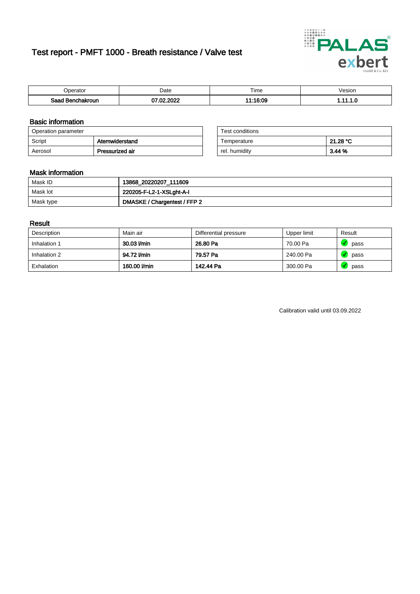# Test report - PMFT 1000 - Breath resistance / Valve test



| )perator               | Date                     | $- \cdot$<br>Гіmе | /esion |
|------------------------|--------------------------|-------------------|--------|
| המס<br>hakroun<br>saac | , nnns<br>- CO<br>w<br>u | 11:16:09          | .      |

### Basic information

| Operation parameter |                 | Test conditions |          |
|---------------------|-----------------|-----------------|----------|
| Script              | Atemwiderstand  | Temperature     | 21.28 °C |
| Aerosol             | Pressurized air | rel. humidity   | 3.44%    |

| Test conditions |          |
|-----------------|----------|
| Temperature     | 21.28 °C |
| rel. humidity   | 3.44%    |

#### Mask information

| Mask ID   | 13868_20220207_111609        |
|-----------|------------------------------|
| Mask lot  | 220205-F-L2-1-XSLght-A-I     |
| Mask type | DMASKE / Chargentest / FFP 2 |

### Result

| Description  | Main air     | Differential pressure | Upper limit | Result |
|--------------|--------------|-----------------------|-------------|--------|
| Inhalation 1 | 30.03 l/min  | 26.80 Pa              | 70.00 Pa    | pass   |
| Inhalation 2 | 94.72 l/min  | 79.57 Pa              | 240.00 Pa   | pass   |
| Exhalation   | 160.00 l/min | 142.44 Pa             | 300.00 Pa   | pass   |

Calibration valid until 03.09.2022